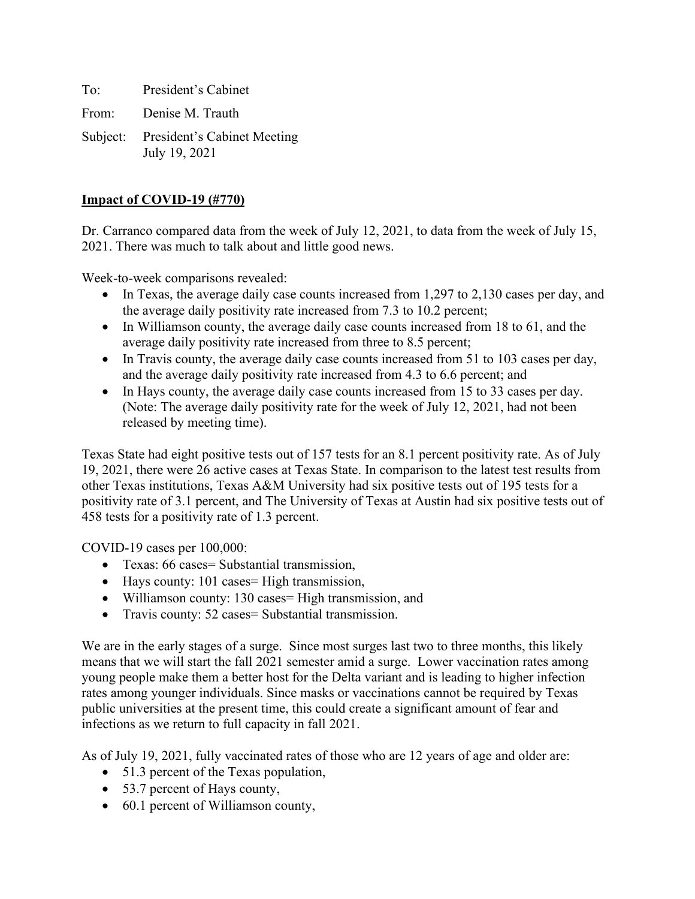To: President's Cabinet From: Denise M. Trauth Subject: President's Cabinet Meeting

July 19, 2021

### **Impact of COVID-19 (#770)**

Dr. Carranco compared data from the week of July 12, 2021, to data from the week of July 15, 2021. There was much to talk about and little good news.

Week-to-week comparisons revealed:

- In Texas, the average daily case counts increased from 1,297 to 2,130 cases per day, and the average daily positivity rate increased from 7.3 to 10.2 percent;
- In Williamson county, the average daily case counts increased from 18 to 61, and the average daily positivity rate increased from three to 8.5 percent;
- In Travis county, the average daily case counts increased from 51 to 103 cases per day, and the average daily positivity rate increased from 4.3 to 6.6 percent; and
- In Hays county, the average daily case counts increased from 15 to 33 cases per day. (Note: The average daily positivity rate for the week of July 12, 2021, had not been released by meeting time).

Texas State had eight positive tests out of 157 tests for an 8.1 percent positivity rate. As of July 19, 2021, there were 26 active cases at Texas State. In comparison to the latest test results from other Texas institutions, Texas A&M University had six positive tests out of 195 tests for a positivity rate of 3.1 percent, and The University of Texas at Austin had six positive tests out of 458 tests for a positivity rate of 1.3 percent.

COVID-19 cases per 100,000:

- Texas: 66 cases= Substantial transmission,
- Hays county: 101 cases= High transmission,
- Williamson county: 130 cases = High transmission, and
- Travis county: 52 cases = Substantial transmission.

We are in the early stages of a surge. Since most surges last two to three months, this likely means that we will start the fall 2021 semester amid a surge. Lower vaccination rates among young people make them a better host for the Delta variant and is leading to higher infection rates among younger individuals. Since masks or vaccinations cannot be required by Texas public universities at the present time, this could create a significant amount of fear and infections as we return to full capacity in fall 2021.

As of July 19, 2021, fully vaccinated rates of those who are 12 years of age and older are:

- 51.3 percent of the Texas population,
- 53.7 percent of Hays county,
- 60.1 percent of Williamson county,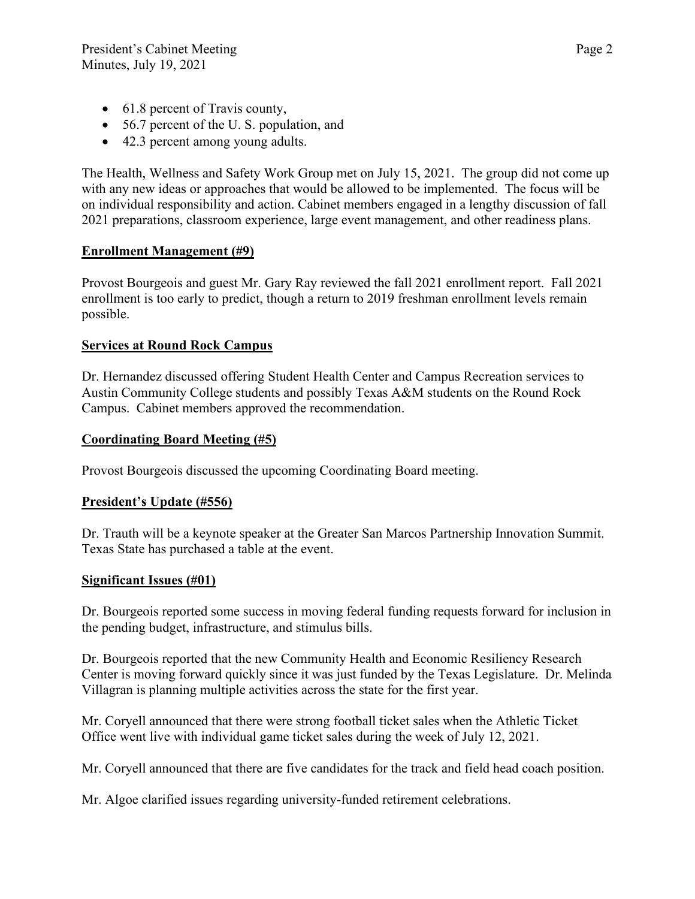- 61.8 percent of Travis county,
- 56.7 percent of the U.S. population, and
- 42.3 percent among young adults.

The Health, Wellness and Safety Work Group met on July 15, 2021. The group did not come up with any new ideas or approaches that would be allowed to be implemented. The focus will be on individual responsibility and action. Cabinet members engaged in a lengthy discussion of fall 2021 preparations, classroom experience, large event management, and other readiness plans.

# **Enrollment Management (#9)**

Provost Bourgeois and guest Mr. Gary Ray reviewed the fall 2021 enrollment report. Fall 2021 enrollment is too early to predict, though a return to 2019 freshman enrollment levels remain possible.

## **Services at Round Rock Campus**

Dr. Hernandez discussed offering Student Health Center and Campus Recreation services to Austin Community College students and possibly Texas A&M students on the Round Rock Campus. Cabinet members approved the recommendation.

## **Coordinating Board Meeting (#5)**

Provost Bourgeois discussed the upcoming Coordinating Board meeting.

# **President's Update (#556)**

Dr. Trauth will be a keynote speaker at the Greater San Marcos Partnership Innovation Summit. Texas State has purchased a table at the event.

# **Significant Issues (#01)**

Dr. Bourgeois reported some success in moving federal funding requests forward for inclusion in the pending budget, infrastructure, and stimulus bills.

Dr. Bourgeois reported that the new Community Health and Economic Resiliency Research Center is moving forward quickly since it was just funded by the Texas Legislature. Dr. Melinda Villagran is planning multiple activities across the state for the first year.

Mr. Coryell announced that there were strong football ticket sales when the Athletic Ticket Office went live with individual game ticket sales during the week of July 12, 2021.

Mr. Coryell announced that there are five candidates for the track and field head coach position.

Mr. Algoe clarified issues regarding university-funded retirement celebrations.